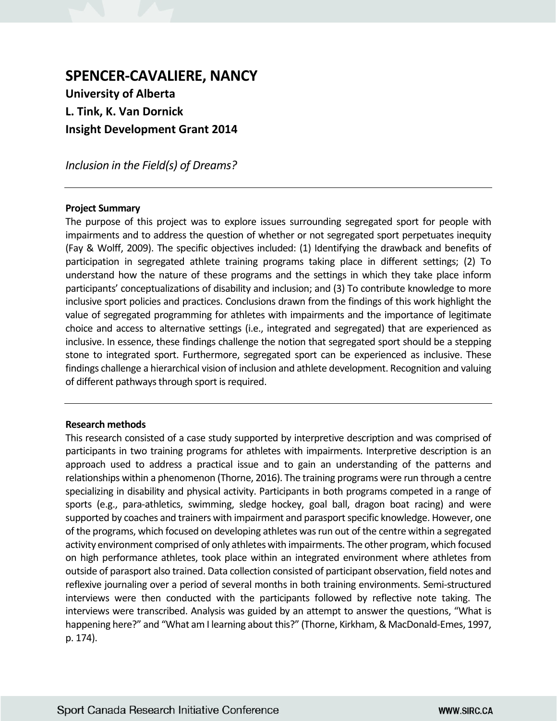# **SPENCER-CAVALIERE, NANCY University of Alberta L. Tink, K. Van Dornick Insight Development Grant 2014**

*Inclusion in the Field(s) of Dreams?*

# **Project Summary**

The purpose of this project was to explore issues surrounding segregated sport for people with impairments and to address the question of whether or not segregated sport perpetuates inequity (Fay & Wolff, 2009). The specific objectives included: (1) Identifying the drawback and benefits of participation in segregated athlete training programs taking place in different settings; (2) To understand how the nature of these programs and the settings in which they take place inform participants' conceptualizations of disability and inclusion; and (3) To contribute knowledge to more inclusive sport policies and practices. Conclusions drawn from the findings of this work highlight the value of segregated programming for athletes with impairments and the importance of legitimate choice and access to alternative settings (i.e., integrated and segregated) that are experienced as inclusive. In essence, these findings challenge the notion that segregated sport should be a stepping stone to integrated sport. Furthermore, segregated sport can be experienced as inclusive. These findings challenge a hierarchical vision of inclusion and athlete development. Recognition and valuing of different pathways through sport is required.

## **Research methods**

This research consisted of a case study supported by interpretive description and was comprised of participants in two training programs for athletes with impairments. Interpretive description is an approach used to address a practical issue and to gain an understanding of the patterns and relationships within a phenomenon (Thorne, 2016). The training programs were run through a centre specializing in disability and physical activity. Participants in both programs competed in a range of sports (e.g., para-athletics, swimming, sledge hockey, goal ball, dragon boat racing) and were supported by coaches and trainers with impairment and parasport specific knowledge. However, one of the programs, which focused on developing athletes was run out of the centre within a segregated activity environment comprised of only athletes with impairments. The other program, which focused on high performance athletes, took place within an integrated environment where athletes from outside of parasport also trained. Data collection consisted of participant observation, field notes and reflexive journaling over a period of several months in both training environments. Semi-structured interviews were then conducted with the participants followed by reflective note taking. The interviews were transcribed. Analysis was guided by an attempt to answer the questions, "What is happening here?" and "What am I learning about this?" (Thorne, Kirkham, & MacDonald-Emes, 1997, p. 174).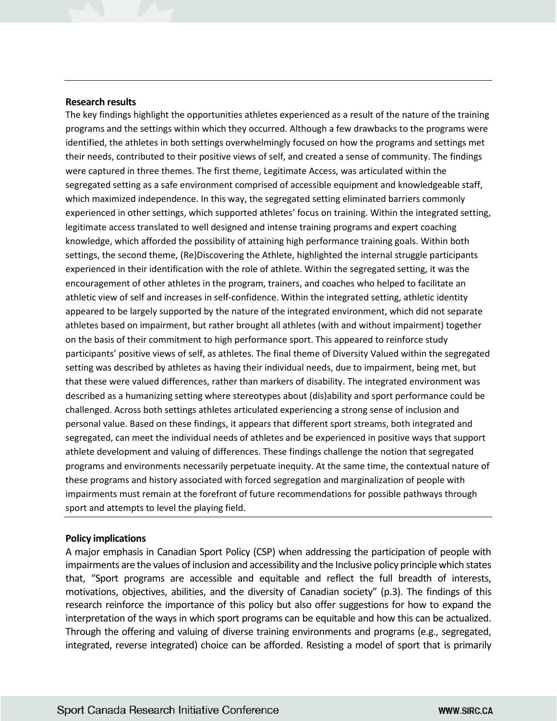#### **Research results**

The key findings highlight the opportunities athletes experienced as a result of the nature of the training programs and the settings within which they occurred. Although a few drawbacks to the programs were identified, the athletes in both settings overwhelmingly focused on how the programs and settings met their needs, contributed to their positive views of self, and created a sense of community. The findings were captured in three themes. The first theme, Legitimate Access, was articulated within the segregated setting as a safe environment comprised of accessible equipment and knowledgeable staff, which maximized independence. In this way, the segregated setting eliminated barriers commonly experienced in other settings, which supported athletes' focus on training. Within the integrated setting, legitimate access translated to well designed and intense training programs and expert coaching knowledge, which afforded the possibility of attaining high performance training goals. Within both settings, the second theme, (Re)Discovering the Athlete, highlighted the internal struggle participants experienced in their identification with the role of athlete. Within the segregated setting, it was the encouragement of other athletes in the program, trainers, and coaches who helped to facilitate an athletic view of self and increases in self-confidence. Within the integrated setting, athletic identity appeared to be largely supported by the nature of the integrated environment, which did not separate athletes based on impairment, but rather brought all athletes (with and without impairment) together on the basis of their commitment to high performance sport. This appeared to reinforce study participants' positive views of self, as athletes. The final theme of Diversity Valued within the segregated setting was described by athletes as having their individual needs, due to impairment, being met, but that these were valued differences, rather than markers of disability. The integrated environment was described as a humanizing setting where stereotypes about (dis)ability and sport performance could be challenged. Across both settings athletes articulated experiencing a strong sense of inclusion and personal value. Based on these findings, it appears that different sport streams, both integrated and segregated, can meet the individual needs of athletes and be experienced in positive ways that support athlete development and valuing of differences. These findings challenge the notion that segregated programs and environments necessarily perpetuate inequity. At the same time, the contextual nature of these programs and history associated with forced segregation and marginalization of people with impairments must remain at the forefront of future recommendations for possible pathways through sport and attempts to level the playing field.

## **Policy implications**

A major emphasis in Canadian Sport Policy (CSP) when addressing the participation of people with impairments are the values of inclusion and accessibility and the Inclusive policy principle which states that, "Sport programs are accessible and equitable and reflect the full breadth of interests, motivations, objectives, abilities, and the diversity of Canadian society" (p.3). The findings of this research reinforce the importance of this policy but also offer suggestions for how to expand the interpretation of the ways in which sport programs can be equitable and how this can be actualized. Through the offering and valuing of diverse training environments and programs (e.g., segregated, integrated, reverse integrated) choice can be afforded. Resisting a model of sport that is primarily